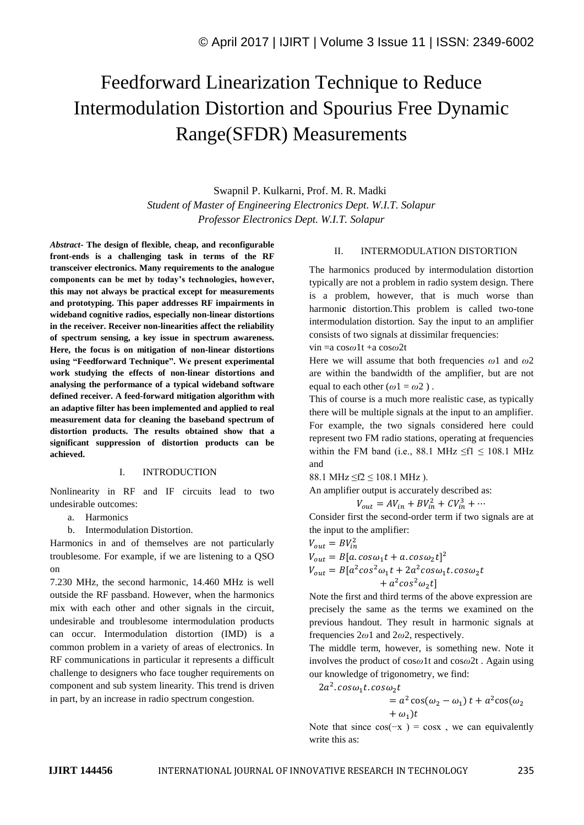# Feedforward Linearization Technique to Reduce Intermodulation Distortion and Spourius Free Dynamic Range(SFDR) Measurements

Swapnil P. Kulkarni, Prof. M. R. Madki *Student of Master of Engineering Electronics Dept. W.I.T. Solapur Professor Electronics Dept. W.I.T. Solapur*

*Abstract-* **The design of flexible, cheap, and reconfigurable front-ends is a challenging task in terms of the RF transceiver electronics. Many requirements to the analogue components can be met by today's technologies, however, this may not always be practical except for measurements and prototyping. This paper addresses RF impairments in wideband cognitive radios, especially non-linear distortions in the receiver. Receiver non-linearities affect the reliability of spectrum sensing, a key issue in spectrum awareness. Here, the focus is on mitigation of non-linear distortions using "Feedforward Technique". We present experimental work studying the effects of non-linear distortions and analysing the performance of a typical wideband software defined receiver. A feed-forward mitigation algorithm with an adaptive filter has been implemented and applied to real measurement data for cleaning the baseband spectrum of distortion products. The results obtained show that a significant suppression of distortion products can be achieved.**

### I. INTRODUCTION

Nonlinearity in RF and IF circuits lead to two undesirable outcomes:

a. Harmonics

b. Intermodulation Distortion.

Harmonics in and of themselves are not particularly troublesome. For example, if we are listening to a QSO on

7.230 MHz, the second harmonic, 14.460 MHz is well outside the RF passband. However, when the harmonics mix with each other and other signals in the circuit, undesirable and troublesome intermodulation products can occur. Intermodulation distortion (IMD) is a common problem in a variety of areas of electronics. In RF communications in particular it represents a difficult challenge to designers who face tougher requirements on component and sub system linearity. This trend is driven in part, by an increase in radio spectrum congestion.

### II. INTERMODULATION DISTORTION

The harmonics produced by intermodulation distortion typically are not a problem in radio system design. There is a problem, however, that is much worse than harmoni**c** distortion.This problem is called two-tone intermodulation distortion. Say the input to an amplifier consists of two signals at dissimilar frequencies:

vin =a cos*ω*1t +a cos*ω*2t

Here we will assume that both frequencies *ω*1 and *ω*2 are within the bandwidth of the amplifier, but are not equal to each other  $(\omega 1 = \omega 2)$ .

This of course is a much more realistic case, as typically there will be multiple signals at the input to an amplifier. For example, the two signals considered here could represent two FM radio stations, operating at frequencies within the FM band (i.e., 88.1 MHz  $\leq$ f1  $\leq$  108.1 MHz and

88.1 MHz  $\leq f2 \leq 108.1$  MHz).

An amplifier output is accurately described as:

$$
V_{out} = AV_{in} + BV_{in}^2 + CV_{in}^3 + \cdots
$$

Consider first the second-order term if two signals are at the input to the amplifier:

$$
V_{out} = BV_{in}^{2}
$$
  
\n
$$
V_{out} = B[a \cdot cos\omega_{1}t + a \cdot cos\omega_{2}t]^{2}
$$
  
\n
$$
V_{out} = B[a^{2}cos^{2}\omega_{1}t + 2a^{2}cos\omega_{1}t \cdot cos\omega_{2}t + a^{2}cos^{2}\omega_{2}t]
$$

Note the first and third terms of the above expression are precisely the same as the terms we examined on the previous handout. They result in harmonic signals at frequencies 2*ω*1 and 2*ω*2, respectively.

The middle term, however, is something new. Note it involves the product of cos*ω*1t and cos*ω*2t . Again using our knowledge of trigonometry, we find:

 $2a^2$ .  $cos\omega_1 t$ .  $cos\omega_2 t$ 

$$
= a2 cos(\omega2 - \omega1) t + a2 cos(\omega2 + \omega1)t
$$

Note that since  $cos(-x) = cosx$ , we can equivalently write this as: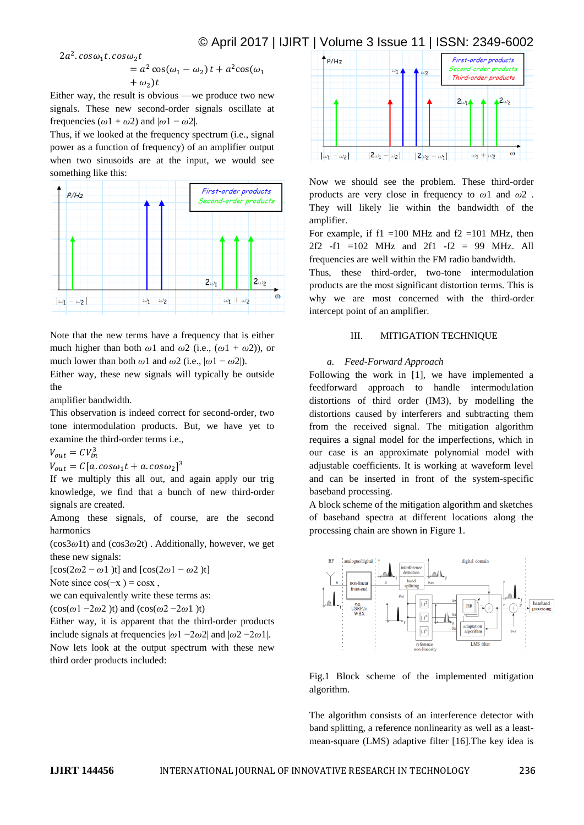### © April 2017 | IJIRT | Volume 3 Issue 11 | ISSN: 2349-6002

 $2a^2$ .  $cos\omega_1 t$ .  $cos\omega_2 t$ 

$$
= a2 cos(\omega1 - \omega2) t + a2 cos(\omega1 + \omega2)t
$$

Either way, the result is obvious —we produce two new signals. These new second-order signals oscillate at frequencies  $(\omega 1 + \omega 2)$  and  $|\omega 1 - \omega 2|$ .

Thus, if we looked at the frequency spectrum (i.e., signal power as a function of frequency) of an amplifier output when two sinusoids are at the input, we would see something like this:



Note that the new terms have a frequency that is either much higher than both  $\omega$ 1 and  $\omega$ 2 (i.e.,  $(\omega$ 1 +  $\omega$ 2)), or much lower than both  $\omega$ 1 and  $\omega$ 2 (i.e.,  $|\omega$ 1 –  $\omega$ 2).

Either way, these new signals will typically be outside the

amplifier bandwidth.

This observation is indeed correct for second-order, two tone intermodulation products. But, we have yet to examine the third-order terms i.e.,

$$
V_{out} = CV_{in}^3
$$

 $V_{out} = C[a.\cos\omega_1 t + a.\cos\omega_2]^3$ 

If we multiply this all out, and again apply our trig knowledge, we find that a bunch of new third-order signals are created.

Among these signals, of course, are the second harmonics

(cos3*ω*1t) and (cos3*ω*2t) . Additionally, however, we get these new signals:

 $[\cos(2\omega^2 - \omega^2)t]$  and  $[\cos(2\omega^2 - \omega^2)t]$ 

Note since  $cos(-x) = cosx$ ,

we can equivalently write these terms as:

 $(\cos(\omega 1 - 2\omega 2) t)$  and  $(\cos(\omega 2 - 2\omega 1) t)$ 

Either way, it is apparent that the third-order products include signals at frequencies  $|\omega_1 - 2\omega_2|$  and  $|\omega_2 - 2\omega_1|$ . Now lets look at the output spectrum with these new third order products included:



Now we should see the problem. These third-order products are very close in frequency to *ω*1 and *ω*2 . They will likely lie within the bandwidth of the amplifier.

For example, if  $f1 = 100$  MHz and  $f2 = 101$  MHz, then  $2f2 -f1 = 102$  MHz and  $2f1 -f2 = 99$  MHz. All frequencies are well within the FM radio bandwidth.

Thus, these third-order, two-tone intermodulation products are the most significant distortion terms. This is why we are most concerned with the third-order intercept point of an amplifier.

#### III. MITIGATION TECHNIQUE

#### *a. Feed-Forward Approach*

Following the work in [1], we have implemented a feedforward approach to handle intermodulation distortions of third order (IM3), by modelling the distortions caused by interferers and subtracting them from the received signal. The mitigation algorithm requires a signal model for the imperfections, which in our case is an approximate polynomial model with adjustable coefficients. It is working at waveform level and can be inserted in front of the system-specific baseband processing.

A block scheme of the mitigation algorithm and sketches of baseband spectra at different locations along the processing chain are shown in Figure 1.



Fig.1 Block scheme of the implemented mitigation algorithm.

The algorithm consists of an interference detector with band splitting, a reference nonlinearity as well as a leastmean-square (LMS) adaptive filter [16].The key idea is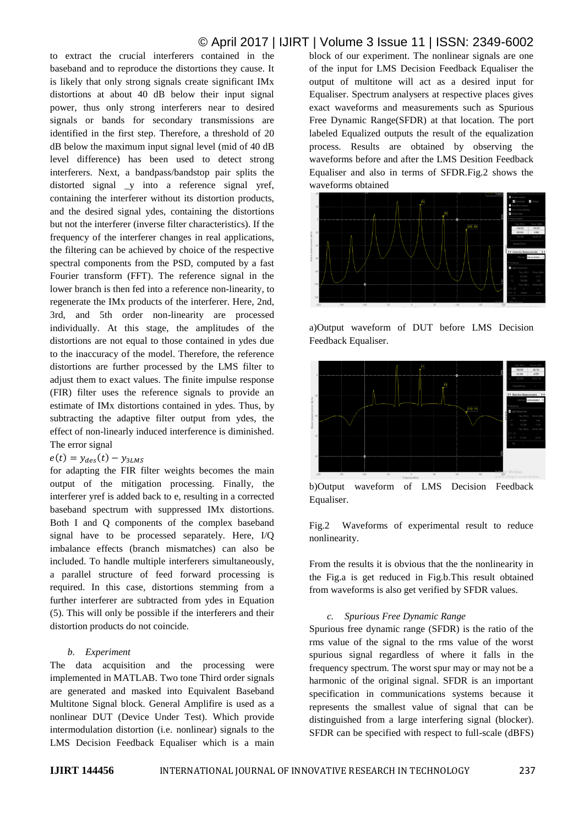## © April 2017 | IJIRT | Volume 3 Issue 11 | ISSN: 2349-6002

to extract the crucial interferers contained in the baseband and to reproduce the distortions they cause. It is likely that only strong signals create significant IMx distortions at about 40 dB below their input signal power, thus only strong interferers near to desired signals or bands for secondary transmissions are identified in the first step. Therefore, a threshold of 20 dB below the maximum input signal level (mid of 40 dB level difference) has been used to detect strong interferers. Next, a bandpass/bandstop pair splits the distorted signal \_y into a reference signal yref, containing the interferer without its distortion products, and the desired signal ydes, containing the distortions but not the interferer (inverse filter characteristics). If the frequency of the interferer changes in real applications, the filtering can be achieved by choice of the respective spectral components from the PSD, computed by a fast Fourier transform (FFT). The reference signal in the lower branch is then fed into a reference non-linearity, to regenerate the IMx products of the interferer. Here, 2nd, 3rd, and 5th order non-linearity are processed individually. At this stage, the amplitudes of the distortions are not equal to those contained in ydes due to the inaccuracy of the model. Therefore, the reference distortions are further processed by the LMS filter to adjust them to exact values. The finite impulse response (FIR) filter uses the reference signals to provide an estimate of IMx distortions contained in ydes. Thus, by subtracting the adaptive filter output from ydes, the effect of non-linearly induced interference is diminished. The error signal

 $e(t) = y_{des}(t) - y_{3LMS}$ 

for adapting the FIR filter weights becomes the main output of the mitigation processing. Finally, the interferer yref is added back to e, resulting in a corrected baseband spectrum with suppressed IMx distortions. Both I and Q components of the complex baseband signal have to be processed separately. Here, I/Q imbalance effects (branch mismatches) can also be included. To handle multiple interferers simultaneously, a parallel structure of feed forward processing is required. In this case, distortions stemming from a further interferer are subtracted from ydes in Equation (5). This will only be possible if the interferers and their distortion products do not coincide.

### *b. Experiment*

The data acquisition and the processing were implemented in MATLAB. Two tone Third order signals are generated and masked into Equivalent Baseband Multitone Signal block. General Amplifire is used as a nonlinear DUT (Device Under Test). Which provide intermodulation distortion (i.e. nonlinear) signals to the LMS Decision Feedback Equaliser which is a main

block of our experiment. The nonlinear signals are one of the input for LMS Decision Feedback Equaliser the output of multitone will act as a desired input for Equaliser. Spectrum analysers at respective places gives exact waveforms and measurements such as Spurious Free Dynamic Range(SFDR) at that location. The port labeled Equalized outputs the result of the equalization process. Results are obtained by observing the waveforms before and after the LMS Desition Feedback Equaliser and also in terms of SFDR.Fig.2 shows the waveforms obtained



a)Output waveform of DUT before LMS Decision Feedback Equaliser.



b)Output waveform of LMS Decision Feedback Equaliser.

Fig.2 Waveforms of experimental result to reduce nonlinearity.

From the results it is obvious that the the nonlinearity in the Fig.a is get reduced in Fig.b.This result obtained from waveforms is also get verified by SFDR values.

### *c. Spurious Free Dynamic Range*

Spurious free dynamic range (SFDR) is the ratio of the rms value of the signal to the rms value of the worst spurious signal regardless of where it falls in the frequency spectrum. The worst spur may or may not be a harmonic of the original signal. SFDR is an important specification in communications systems because it represents the smallest value of signal that can be distinguished from a large interfering signal (blocker). SFDR can be specified with respect to full-scale (dBFS)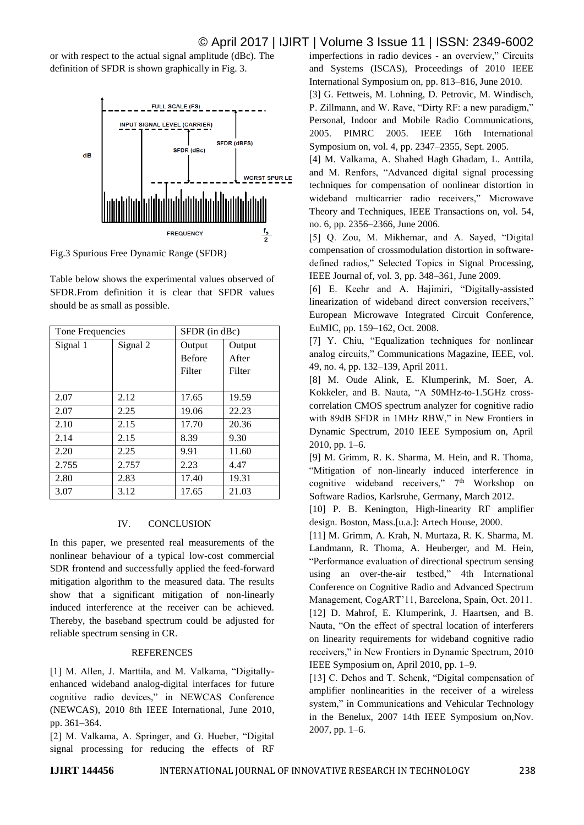### © April 2017 | IJIRT | Volume 3 Issue 11 | ISSN: 2349-6002

or with respect to the actual signal amplitude (dBc). The definition of SFDR is shown graphically in Fig. 3.



Fig.3 Spurious Free Dynamic Range (SFDR)

Table below shows the experimental values observed of SFDR.From definition it is clear that SFDR values should be as small as possible.

| Tone Frequencies |          | SFDR (in dBc) |        |
|------------------|----------|---------------|--------|
| Signal 1         | Signal 2 | Output        | Output |
|                  |          | <b>Before</b> | After  |
|                  |          | Filter        | Filter |
|                  |          |               |        |
| 2.07             | 2.12     | 17.65         | 19.59  |
| 2.07             | 2.25     | 19.06         | 22.23  |
| 2.10             | 2.15     | 17.70         | 20.36  |
| 2.14             | 2.15     | 8.39          | 9.30   |
| 2.20             | 2.25     | 9.91          | 11.60  |
| 2.755            | 2.757    | 2.23          | 4.47   |
| 2.80             | 2.83     | 17.40         | 19.31  |
| 3.07             | 3.12     | 17.65         | 21.03  |

### IV. CONCLUSION

In this paper, we presented real measurements of the nonlinear behaviour of a typical low-cost commercial SDR frontend and successfully applied the feed-forward mitigation algorithm to the measured data. The results show that a significant mitigation of non-linearly induced interference at the receiver can be achieved. Thereby, the baseband spectrum could be adjusted for reliable spectrum sensing in CR.

### **REFERENCES**

[1] M. Allen, J. Marttila, and M. Valkama, "Digitallyenhanced wideband analog-digital interfaces for future cognitive radio devices," in NEWCAS Conference (NEWCAS), 2010 8th IEEE International, June 2010, pp. 361–364.

[2] M. Valkama, A. Springer, and G. Hueber, "Digital signal processing for reducing the effects of RF imperfections in radio devices - an overview," Circuits and Systems (ISCAS), Proceedings of 2010 IEEE International Symposium on, pp. 813–816, June 2010.

[3] G. Fettweis, M. Lohning, D. Petrovic, M. Windisch, P. Zillmann, and W. Rave, "Dirty RF: a new paradigm," Personal, Indoor and Mobile Radio Communications, 2005. PIMRC 2005. IEEE 16th International Symposium on, vol. 4, pp. 2347–2355, Sept. 2005.

[4] M. Valkama, A. Shahed Hagh Ghadam, L. Anttila, and M. Renfors, "Advanced digital signal processing techniques for compensation of nonlinear distortion in wideband multicarrier radio receivers," Microwave Theory and Techniques, IEEE Transactions on, vol. 54, no. 6, pp. 2356–2366, June 2006.

[5] Q. Zou, M. Mikhemar, and A. Sayed, "Digital compensation of crossmodulation distortion in softwaredefined radios," Selected Topics in Signal Processing, IEEE Journal of, vol. 3, pp. 348–361, June 2009.

[6] E. Keehr and A. Hajimiri, "Digitally-assisted linearization of wideband direct conversion receivers," European Microwave Integrated Circuit Conference, EuMIC, pp. 159–162, Oct. 2008.

[7] Y. Chiu, "Equalization techniques for nonlinear analog circuits," Communications Magazine, IEEE, vol. 49, no. 4, pp. 132–139, April 2011.

[8] M. Oude Alink, E. Klumperink, M. Soer, A. Kokkeler, and B. Nauta, "A 50MHz-to-1.5GHz crosscorrelation CMOS spectrum analyzer for cognitive radio with 89dB SFDR in 1MHz RBW," in New Frontiers in Dynamic Spectrum, 2010 IEEE Symposium on, April 2010, pp. 1–6.

[9] M. Grimm, R. K. Sharma, M. Hein, and R. Thoma, "Mitigation of non-linearly induced interference in cognitive wideband receivers," 7<sup>th</sup> Workshop on Software Radios, Karlsruhe, Germany, March 2012.

[10] P. B. Kenington, High-linearity RF amplifier design. Boston, Mass.[u.a.]: Artech House, 2000.

[11] M. Grimm, A. Krah, N. Murtaza, R. K. Sharma, M. Landmann, R. Thoma, A. Heuberger, and M. Hein, "Performance evaluation of directional spectrum sensing using an over-the-air testbed," 4th International Conference on Cognitive Radio and Advanced Spectrum Management, CogART'11, Barcelona, Spain, Oct. 2011. [12] D. Mahrof, E. Klumperink, J. Haartsen, and B.

Nauta, "On the effect of spectral location of interferers on linearity requirements for wideband cognitive radio receivers," in New Frontiers in Dynamic Spectrum, 2010 IEEE Symposium on, April 2010, pp. 1–9.

[13] C. Dehos and T. Schenk, "Digital compensation of amplifier nonlinearities in the receiver of a wireless system," in Communications and Vehicular Technology in the Benelux, 2007 14th IEEE Symposium on,Nov. 2007, pp. 1–6.